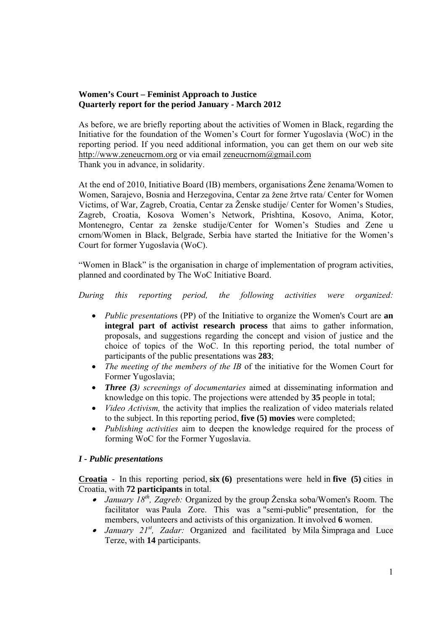# **Women's Court – Feminist Approach to Justice Quarterly report for the period January - March 2012**

As before, we are briefly reporting about the activities of Women in Black, regarding the Initiative for the foundation of the Women's Court for former Yugoslavia (WoC) in the reporting period. If you need additional information, you can get them on our web site http://www.zeneucrnom.org or via email zeneucrnom@gmail.com Thank you in advance, in solidarity.

At the end of 2010, Initiative Board (IB) members, organisations Žene ženama/Women to Women, Sarajevo, Bosnia and Herzegovina, Centar za žene žrtve rata/ Center for Women Victims, of War, Zagreb, Croatia, Centar za Ženske studije/ Center for Women's Studies, Zagreb, Croatia, Kosova Women's Network, Prishtina, Kosovo, Anima, Kotor, Montenegro, Centar za ženske studije/Center for Women's Studies and Zene u crnom/Women in Black, Belgrade, Serbia have started the Initiative for the Women's Court for former Yugoslavia (WoC).

"Women in Black" is the organisation in charge of implementation of program activities, planned and coordinated by The WoC Initiative Board.

*During this reporting period, the following activities were organized:* 

- *Public presentation*s (PP) of the Initiative to organize the Women's Court are **an integral part of activist research process** that aims to gather information, proposals, and suggestions regarding the concept and vision of justice and the choice of topics of the WoC. In this reporting period, the total number of participants of the public presentations was **283**;
- *The meeting of the members of the IB* of the initiative for the Women Court for Former Yugoslavia;
- *Three (3) screenings of documentaries* aimed at disseminating information and knowledge on this topic. The projections were attended by **35** people in total;
- *Video Activism,* the activity that implies the realization of video materials related to the subject. In this reporting period, **five (5) movies** were completed;
- *Publishing activities* aim to deepen the knowledge required for the process of forming WoC for the Former Yugoslavia.

## *I - Public presentations*

**Croatia** - In this reporting period, **six (6)** presentations were held in **five (5)** cities in Croatia, with **72 participants** in total.

- *January 18th, Zagreb:* Organized by the group Ženska soba/Women's Room. The facilitator was Paula Zore. This was a "semi-public" presentation, for the members, volunteers and activists of this organization. It involved **6** women.
- *January 21st, Zadar:* Organized and facilitated by Mila Šimpraga and Luce Terze, with **14** participants.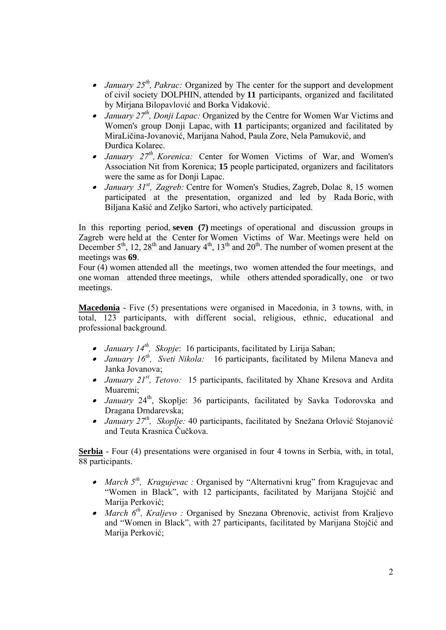- *January 25th, Pakrac:* Organized by The center for the support and development of civil society DOLPHIN, attended by **11** participants, organized and facilitated by Mirjana Bilopavlović and Borka Vidaković.
- *January 27th, Donji Lapac:* Organized by the Centre for Women War Victims and Women's group Donji Lapac, with **11** participants; organized and facilitated by MiraLičina-Jovanović, Marijana Nahod, Paula Zore, Nela Pamuković, and Đurđica Kolarec.
- *January 27th, Korenica:* Center for Women Victims of War, and Women's Association Nit from Korenica; **15** people participated, organizers and facilitators were the same as for Donji Lapac.
- • *January 31st, Zagreb:* Centre for Women's Studies, Zagreb, Dolac 8, 15 women participated at the presentation, organized and led by Rada Boric, with Biljana Kašić and Zeljko Sartori, who actively participated.

In this reporting period, **seven (7)** meetings of operational and discussion groups in Zagreb were held at the Center for Women Victims of War. Meetings were held on December  $5<sup>th</sup>$ , 12, 28<sup>th</sup> and January 4<sup>th</sup>, 13<sup>th</sup> and 20<sup>th</sup>. The number of women present at the meetings was **69**.

Four (4) women attended all the meetings, two women attended the four meetings, and one woman attended three meetings, while others attended sporadically, one or two meetings.

**Macedonia** - Five (5) presentations were organised in Macedonia, in 3 towns, with, in total, 123 participants, with different social, religious, ethnic, educational and professional background.

- *January 14th, Skopje*: 16 participants, facilitated by Lirija Saban;
- *January 16th, Sveti Nikola:* 16 participants, facilitated by Milena Maneva and Janka Jovanova;
- *January 21st, Tetovo:* 15 participants, facilitated by Xhane Kresova and Ardita Muaremi;
- *January* 24<sup>th</sup>, Skoplje: 36 participants, facilitated by Savka Todorovska and Dragana Drndarevska;
- *January 27th, Skoplje:* 40 participants, facilitated by Snežana Orlović Stojanović and Teuta Krasnica Čučkova.

**Serbia** - Four (4) presentations were organised in four 4 towns in Serbia, with, in total, 88 participants.

- *March 5th, Kragujevac :* Organised by "Alternativni krug" from Kragujevac and "Women in Black", with 12 participants, facilitated by Marijana Stojčić and Marija Perković;
- *March 6th, Kraljevo :* Organised by Snezana Obrenovic, activist from Kraljevo and "Women in Black", with 27 participants, facilitated by Marijana Stojčić and Marija Perković;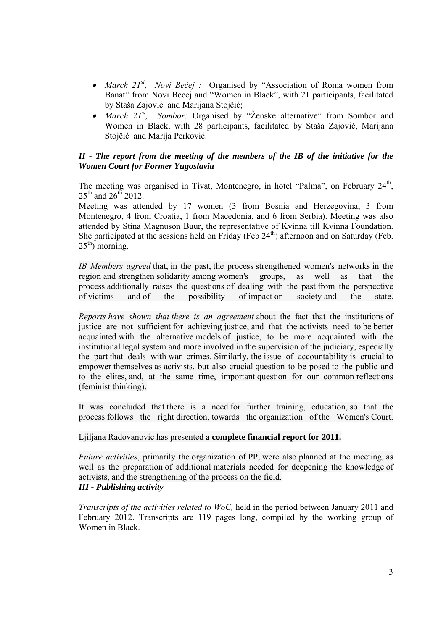- *March 21st, Novi Bečej :* Organised by "Association of Roma women from Banat" from Novi Becej and "Women in Black", with 21 participants, facilitated by Staša Zajović and Marijana Stojčić;
- *March 21st, Sombor:* Organised by "Ženske alternative" from Sombor and Women in Black, with 28 participants, facilitated by Staša Zajović, Marijana Stojčić and Marija Perković.

# *II - The report from the meeting of the members of the IB of the initiative for the Women Court for Former Yugoslavia*

The meeting was organised in Tivat, Montenegro, in hotel "Palma", on February 24<sup>th</sup>,  $25^{th}$  and  $26^{th}$  2012.

Meeting was attended by 17 women (3 from Bosnia and Herzegovina, 3 from Montenegro, 4 from Croatia, 1 from Macedonia, and 6 from Serbia). Meeting was also attended by Stina Magnuson Buur, the representative of Kvinna till Kvinna Foundation. She participated at the sessions held on Friday (Feb  $24<sup>th</sup>$ ) afternoon and on Saturday (Feb.  $25<sup>th</sup>$ ) morning.

*IB Members agreed* that, in the past, the process strengthened women's networks in the region and strengthen solidarity among women's groups, as well as that the process additionally raises the questions of dealing with the past from the perspective of victims and of the possibility of impact on society and the state.

*Reports have shown that there is an agreement* about the fact that the institutions of justice are not sufficient for achieving justice, and that the activists need to be better acquainted with the alternative models of justice, to be more acquainted with the institutional legal system and more involved in the supervision of the judiciary, especially the part that deals with war crimes. Similarly, the issue of accountability is crucial to empower themselves as activists, but also crucial question to be posed to the public and to the elites, and, at the same time, important question for our common reflections (feminist thinking).

It was concluded that there is a need for further training, education, so that the process follows the right direction, towards the organization of the Women's Court.

Ljiljana Radovanovic has presented a **complete financial report for 2011.**

*Future activities*, primarily the organization of PP, were also planned at the meeting, as well as the preparation of additional materials needed for deepening the knowledge of activists, and the strengthening of the process on the field. *III - Publishing activity* 

*Transcripts of the activities related to WoC,* held in the period between January 2011 and February 2012. Transcripts are 119 pages long, compiled by the working group of Women in Black.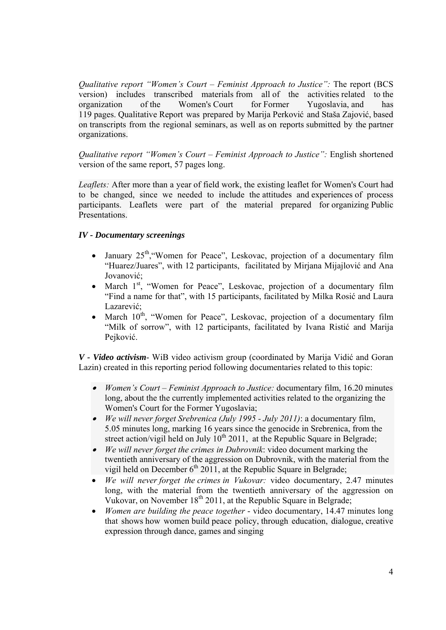*Qualitative report "Women's Court – Feminist Approach to Justice":* The report (BCS version) includes transcribed materials from all of the activities related to the organization of the Women's Court for Former Yugoslavia, and has organization of the Women's Court for Former Yugoslavia, and has 119 pages. Qualitative Report was prepared by Marija Perković and Staša Zajović, based on transcripts from the regional seminars, as well as on reports submitted by the partner organizations.

*Qualitative report "Women's Court – Feminist Approach to Justice":* English shortened version of the same report, 57 pages long.

*Leaflets:* After more than a year of field work, the existing leaflet for Women's Court had to be changed, since we needed to include the attitudes and experiences of process participants. Leaflets were part of the material prepared for organizing Public Presentations.

# *IV - Documentary screenings*

- January  $25<sup>th</sup>$ , "Women for Peace", Leskovac, projection of a documentary film "Huarez/Juares", with 12 participants, facilitated by Mirjana Mijajlović and Ana Jovanović<sup>.</sup>
- March 1<sup>st</sup>, "Women for Peace", Leskovac, projection of a documentary film "Find a name for that", with 15 participants, facilitated by Milka Rosić and Laura Lazarević;
- March  $10^{th}$ , "Women for Peace", Leskovac, projection of a documentary film "Milk of sorrow", with 12 participants, facilitated by Ivana Ristić and Marija Pejković.

*V - Video activism*- WiB video activism group (coordinated by Marija Vidić and Goran Lazin) created in this reporting period following documentaries related to this topic:

- • *Women's Court* – *Feminist Approach to Justice:* documentary film, 16.20 minutes long, about the the currently implemented activities related to the organizing the Women's Court for the Former Yugoslavia;
- *We will never forget Srebrenica (July 1995 July 2011)*: a documentary film, 5.05 minutes long, marking 16 years since the genocide in Srebrenica, from the street action/vigil held on July  $10^{th}$  2011, at the Republic Square in Belgrade;
- *We will never forget the crimes in Dubrovnik*: video document marking the twentieth anniversary of the aggression on Dubrovnik, with the material from the vigil held on December  $6<sup>th</sup> 2011$ , at the Republic Square in Belgrade;
- *We will never forget the crimes in Vukovar:* video documentary, 2.47 minutes long, with the material from the twentieth anniversary of the aggression on Vukovar, on November 18<sup>th</sup> 2011, at the Republic Square in Belgrade;
- *Women are building the peace together* video documentary, 14.47 minutes long that shows how women build peace policy, through education, dialogue, creative expression through dance, games and singing